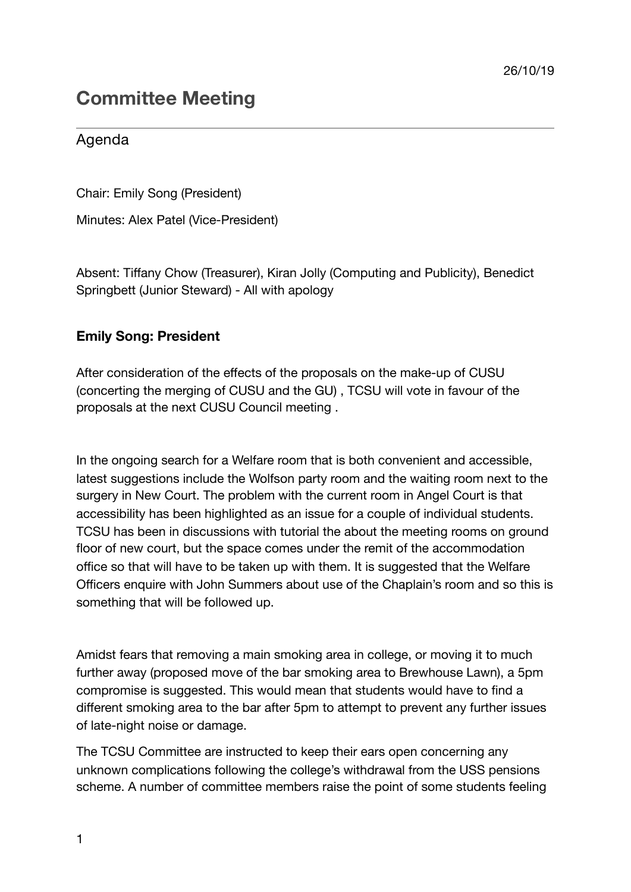# **Committee Meeting**

# Agenda

Chair: Emily Song (President)

Minutes: Alex Patel (Vice-President)

Absent: Tiffany Chow (Treasurer), Kiran Jolly (Computing and Publicity), Benedict Springbett (Junior Steward) - All with apology

## **Emily Song: President**

After consideration of the effects of the proposals on the make-up of CUSU (concerting the merging of CUSU and the GU) , TCSU will vote in favour of the proposals at the next CUSU Council meeting .

In the ongoing search for a Welfare room that is both convenient and accessible, latest suggestions include the Wolfson party room and the waiting room next to the surgery in New Court. The problem with the current room in Angel Court is that accessibility has been highlighted as an issue for a couple of individual students. TCSU has been in discussions with tutorial the about the meeting rooms on ground floor of new court, but the space comes under the remit of the accommodation office so that will have to be taken up with them. It is suggested that the Welfare Officers enquire with John Summers about use of the Chaplain's room and so this is something that will be followed up.

Amidst fears that removing a main smoking area in college, or moving it to much further away (proposed move of the bar smoking area to Brewhouse Lawn), a 5pm compromise is suggested. This would mean that students would have to find a different smoking area to the bar after 5pm to attempt to prevent any further issues of late-night noise or damage.

The TCSU Committee are instructed to keep their ears open concerning any unknown complications following the college's withdrawal from the USS pensions scheme. A number of committee members raise the point of some students feeling